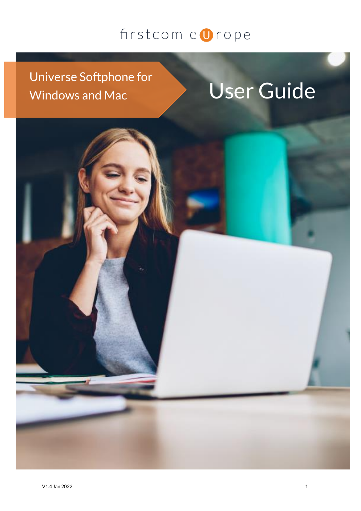### Universe Softphone for Windows and Mac **USer Guide**

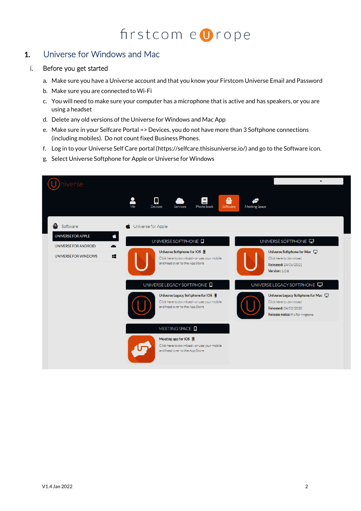### 1. Universe for Windows and Mac

### i. Before you get started

- a. Make sure you have a Universe account and that you know your Firstcom Universe Email and Password
- b. Make sure you are connected to Wi-Fi
- c. You will need to make sure your computer has a microphone that is active and has speakers, or you are using a headset
- d. Delete any old versions of the Universe for Windows and Mac App
- e. Make sure in your Selfcare Portal => Devices, you do not have more than 3 Softphone connections (including mobiles). Do not count fixed Business Phones.
- f. Log in to your Universe Self Care portal (https://selfcare.thisisuniverse.io/) and go to the Software icon.
- g. Select Universe Softphone for Apple or Universe for Windows

| iverse                                                   |                                                                                                                                                                                                                                                                                                          |
|----------------------------------------------------------|----------------------------------------------------------------------------------------------------------------------------------------------------------------------------------------------------------------------------------------------------------------------------------------------------------|
|                                                          | 益<br>Ω<br>크<br>Me<br><b>Devices</b><br>Phone book<br>Services<br>Software<br>Meeting Space                                                                                                                                                                                                               |
| Software                                                 | Universe for Apple                                                                                                                                                                                                                                                                                       |
| Ć<br><b>UNIVERSE FOR APPLE</b><br>凑                      | UNIVERSE SOFTPHONE<br>UNIVERSE SOFTPHONE                                                                                                                                                                                                                                                                 |
| UNIVERSE FOR ANDROID<br>疆<br><b>UNIVERSE FOR WINDOWS</b> | Universe Softphone for iOS <b>■</b><br>Universe Softphone for Mac<br>Click here to download - or use your mobile<br>Click here to download<br>and head over to the App Store<br>Released: 24/06/2021<br>Version: 1.0.8                                                                                   |
|                                                          | UNIVERSE LEGACY SOFTPHONE<br>UNIVERSE LEGACY SOFTPHONE<br>Universe Legacy Softphone for iOS  <br>Universe Legacy Softphone for Mac<br>Click here to download<br>Click here to download - or use your mobile<br>and head over to the App Store<br>Released: 04/02/2020<br>Release notes: Fix for ringtone |
|                                                          | MEETING SPACE <b>Q</b><br>Meeting app for iOS  <br>Click here to download - or use your mobile<br>and head over to the App Store                                                                                                                                                                         |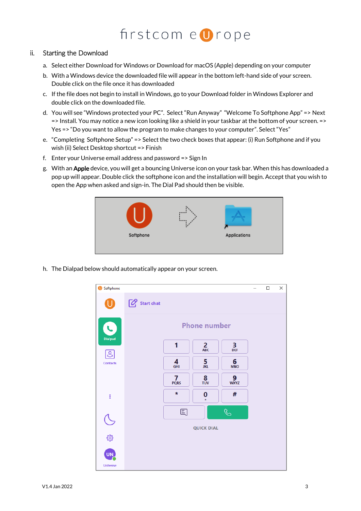### ii. Starting the Download

- a. Select either Download for Windows or Download for macOS (Apple) depending on your computer
- b. With a Windows device the downloaded file will appear in the bottom left-hand side of your screen. Double click on the file once it has downloaded
- c. If the file does not begin to install in Windows, go to your Download folder in Windows Explorer and double click on the downloaded file.
- d. You will see "Windows protected your PC". Select "Run Anyway" "Welcome To Softphone App" => Next => Install. You may notice a new icon looking like a shield in your taskbar at the bottom of your screen. => Yes => "Do you want to allow the program to make changes to your computer". Select "Yes"
- e. "Completing Softphone Setup" => Select the two check boxes that appear: (i) Run Softphone and if you wish (ii) Select Desktop shortcut => Finish
- f. Enter your Universe email address and password => Sign In
- g. With an Apple device, you will get a bouncing Universe icon on your task bar. When this has downloaded a pop up will appear. Double click the softphone icon and the installation will begin. Accept that you wish to open the App when asked and sign-in. The Dial Pad should then be visible.



h. The Dialpad below should automatically appear on your screen.

| Softphone           |                     |                  |                           |                  | - | $\Box$ | × |  |  |
|---------------------|---------------------|------------------|---------------------------|------------------|---|--------|---|--|--|
| U                   | Start chat          |                  |                           |                  |   |        |   |  |  |
| C                   | <b>Phone number</b> |                  |                           |                  |   |        |   |  |  |
| <b>Dialpad</b><br>೭ |                     | 1                | $\frac{2}{ABC}$           | $\frac{3}{DEF}$  |   |        |   |  |  |
| <b>Contacts</b>     |                     | 4<br><b>GHI</b>  | 5<br><b>JKL</b>           | 6<br><b>MNO</b>  |   |        |   |  |  |
|                     |                     | $\frac{7}{PQRS}$ | $\frac{8}{100}$           | $\frac{9}{WXYZ}$ |   |        |   |  |  |
| $\vdots$            |                     | $\star$          | 0<br>$\ddot{\phantom{1}}$ | #                |   |        |   |  |  |
|                     |                     | 国                |                           | $\mathcal{C}$    |   |        |   |  |  |
| し<br>、              |                     |                  | <b>QUICK DIAL</b>         |                  |   |        |   |  |  |
|                     |                     |                  |                           |                  |   |        |   |  |  |
| <b>UN</b>           |                     |                  |                           |                  |   |        |   |  |  |
| <b>Universe</b>     |                     |                  |                           |                  |   |        |   |  |  |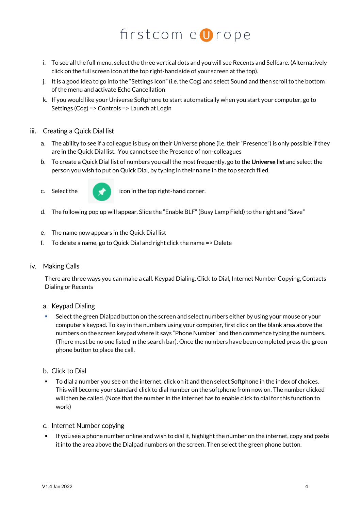- i. To see all the full menu, select the three vertical dots and you will see Recents and Selfcare. (Alternatively click on the full screen icon at the top right-hand side of your screen at the top).
- j. It is a good idea to go into the "Settings Icon" (i.e. the Cog) and select Sound and then scroll to the bottom of the menu and activate Echo Cancellation
- k. If you would like your Universe Softphone to start automatically when you start your computer, go to Settings (Cog) => Controls => Launch at Login

### iii. Creating a Quick Dial list

- a. The ability to see if a colleague is busy on their Universe phone (i.e. their "Presence") is only possible if they are in the Quick Dial list. You cannot see the Presence of non-colleagues
- b. To create a Quick Dial list of numbers you call the most frequently, go to the Universe list and select the person you wish to put on Quick Dial, by typing in their name in the top search filed.
- 



c. Select the  $\blacksquare$  icon in the top right-hand corner.

- d. The following pop up will appear. Slide the "Enable BLF" (Busy Lamp Field) to the right and "Save"
- e. The name now appears in the Quick Dial list
- f. To delete a name, go to Quick Dial and right click the name => Delete

#### iv. Making Calls

There are three ways you can make a call. Keypad Dialing, Click to Dial, Internet Number Copying, Contacts Dialing or Recents

#### a. Keypad Dialing

Select the green Dialpad button on the screen and select numbers either by using your mouse or your computer's keypad. To key in the numbers using your computer, first click on the blank area above the numbers on the screen keypad where it says "Phone Number" and then commence typing the numbers. (There must be no one listed in the search bar). Once the numbers have been completed press the green phone button to place the call.

#### b. Click to Dial

To dial a number you see on the internet, click on it and then select Softphone in the index of choices. This will become your standard click to dial number on the softphone from now on. The number clicked will then be called. (Note that the number in the internet has to enable click to dial for this function to work)

#### c. Internet Number copying

If you see a phone number online and wish to dial it, highlight the number on the internet, copy and paste it into the area above the Dialpad numbers on the screen. Then select the green phone button.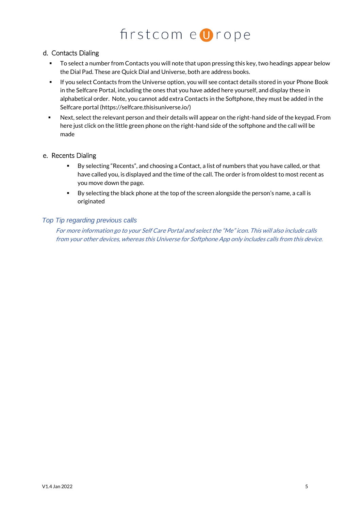### $firstcom$ e  $\blacksquare$ rope

### d. Contacts Dialing

- To select a number from Contacts you will note that upon pressing this key, two headings appear below the Dial Pad. These are Quick Dial and Universe, both are address books.
- If you select Contacts from the Universe option, you will see contact details stored in your Phone Book in the Selfcare Portal, including the ones that you have added here yourself, and display these in alphabetical order. Note, you cannot add extra Contacts in the Softphone, they must be added in the Selfcare portal (https://selfcare.thisisuniverse.io/)
- Next, select the relevant person and their details will appear on the right-hand side of the keypad. From here just click on the little green phone on the right-hand side of the softphone and the call will be made

### e. Recents Dialing

- By selecting "Recents", and choosing a Contact, a list of numbers that you have called, or that have called you, is displayed and the time of the call. The order is from oldest to most recent as you move down the page.
- By selecting the black phone at the top of the screen alongside the person's name, a call is originated

### *Top Tip regarding previous calls*

For more information go to your Self Care Portal and select the "Me" icon. This will also include calls from your other devices, whereas this Universe for Softphone App only includes calls from this device.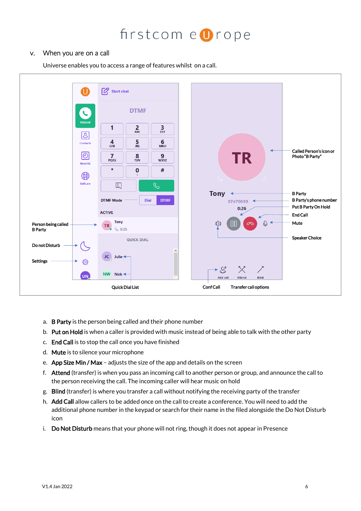### v. When you are on a call

Universe enables you to access a range of features whilst on a call.



- a. B Party is the person being called and their phone number
- b. Put on Hold is when a caller is provided with music instead of being able to talk with the other party
- c. End Call is to stop the call once you have finished
- d. Mute is to silence your microphone
- e. App Size Min / Max adjusts the size of the app and details on the screen
- f. Attend (transfer) is when you pass an incoming call to another person or group, and announce the call to the person receiving the call. The incoming caller will hear music on hold
- g. Blind (transfer) is where you transfer a call without notifying the receiving party of the transfer
- h. Add Call allow callers to be added once on the call to create a conference. You will need to add the additional phone number in the keypad or search for their name in the filed alongside the Do Not Disturb icon
- i. Do Not Disturb means that your phone will not ring, though it does not appear in Presence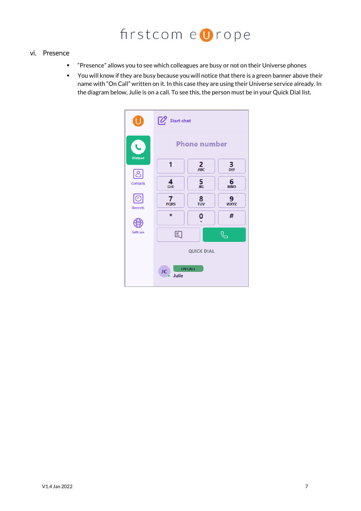### vi. Presence

- "Presence" allows you to see which colleagues are busy or not on their Universe phones
- You will know if they are busy because you will notice that there is a green banner above their name with "On Call" written on it. In this case they are using their Universe service already. In the diagram below, Julie is on a call. To see this, the person must be in your Quick Dial list.

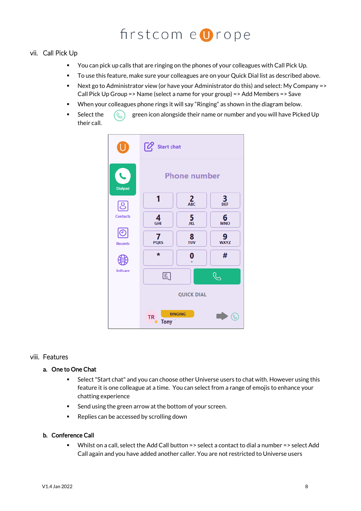### vii. Call Pick Up

- You can pick up calls that are ringing on the phones of your colleagues with Call Pick Up.
- To use this feature, make sure your colleagues are on your Quick Dial list as described above.
- Next go to Administrator view (or have your Administrator do this) and select: My Company => Call Pick Up Group => Name (select a name for your group) => Add Members => Save
- When your colleagues phone rings it will say "Ringing" as shown in the diagram below.
- Select the  $\left(\mathbb{Q}\right)$  green icon alongside their name or number and you will have Picked Up their call.



### viii. Features

#### a. One to One Chat

- Select "Start chat" and you can choose other Universe users to chat with. However using this feature it is one colleague at a time. You can select from a range of emojis to enhance your chatting experience
- Send using the green arrow at the bottom of your screen.
- Replies can be accessed by scrolling down

#### b. Conference Call

■ Whilst on a call, select the Add Call button => select a contact to dial a number => select Add Call again and you have added another caller. You are not restricted to Universe users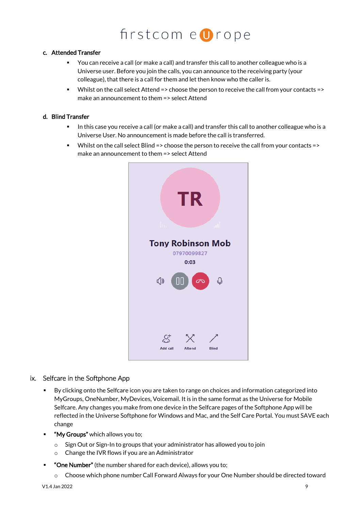### c. Attended Transfer

- You can receive a call (or make a call) and transfer this call to another colleague who is a Universe user. Before you join the calls, you can announce to the receiving party (your colleague), that there is a call for them and let then know who the caller is.
- Whilst on the call select Attend => choose the person to receive the call from your contacts => make an announcement to them => select Attend

### d. Blind Transfer

- In this case you receive a call (or make a call) and transfer this call to another colleague who is a Universe User. No announcement is made before the call is transferred.
- Whilst on the call select Blind => choose the person to receive the call from your contacts => make an announcement to them => select Attend



### ix. Selfcare in the Softphone App

- By clicking onto the Selfcare icon you are taken to range on choices and information categorized into MyGroups, OneNumber, MyDevices, Voicemail. It is in the same format as the Universe for Mobile Selfcare. Any changes you make from one device in the Selfcare pages of the Softphone App will be reflected in the Universe Softphone for Windows and Mac, and the Self Care Portal. You must SAVE each change
- **■** "My Groups" which allows you to;
	- o Sign Out or Sign-In to groups that your administrator has allowed you to join
	- o Change the IVR flows if you are an Administrator
- "One Number" (the number shared for each device), allows you to;
	- $\circ$  Choose which phone number Call Forward Always for your One Number should be directed toward